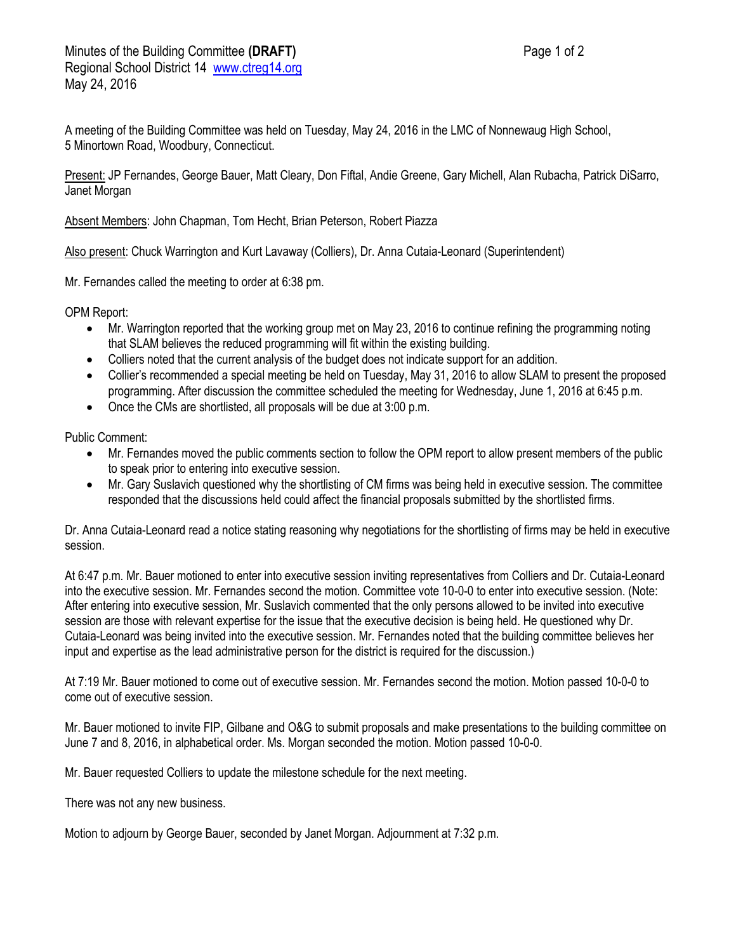A meeting of the Building Committee was held on Tuesday, May 24, 2016 in the LMC of Nonnewaug High School, 5 Minortown Road, Woodbury, Connecticut.

Present: JP Fernandes, George Bauer, Matt Cleary, Don Fiftal, Andie Greene, Gary Michell, Alan Rubacha, Patrick DiSarro, Janet Morgan

Absent Members: John Chapman, Tom Hecht, Brian Peterson, Robert Piazza

Also present: Chuck Warrington and Kurt Lavaway (Colliers), Dr. Anna Cutaia-Leonard (Superintendent)

Mr. Fernandes called the meeting to order at 6:38 pm.

OPM Report:

- Mr. Warrington reported that the working group met on May 23, 2016 to continue refining the programming noting that SLAM believes the reduced programming will fit within the existing building.
- Colliers noted that the current analysis of the budget does not indicate support for an addition.
- Collier's recommended a special meeting be held on Tuesday, May 31, 2016 to allow SLAM to present the proposed programming. After discussion the committee scheduled the meeting for Wednesday, June 1, 2016 at 6:45 p.m.
- Once the CMs are shortlisted, all proposals will be due at 3:00 p.m.

Public Comment:

- Mr. Fernandes moved the public comments section to follow the OPM report to allow present members of the public to speak prior to entering into executive session.
- Mr. Gary Suslavich questioned why the shortlisting of CM firms was being held in executive session. The committee responded that the discussions held could affect the financial proposals submitted by the shortlisted firms.

Dr. Anna Cutaia-Leonard read a notice stating reasoning why negotiations for the shortlisting of firms may be held in executive session.

At 6:47 p.m. Mr. Bauer motioned to enter into executive session inviting representatives from Colliers and Dr. Cutaia-Leonard into the executive session. Mr. Fernandes second the motion. Committee vote 10-0-0 to enter into executive session. (Note: After entering into executive session, Mr. Suslavich commented that the only persons allowed to be invited into executive session are those with relevant expertise for the issue that the executive decision is being held. He questioned why Dr. Cutaia-Leonard was being invited into the executive session. Mr. Fernandes noted that the building committee believes her input and expertise as the lead administrative person for the district is required for the discussion.)

At 7:19 Mr. Bauer motioned to come out of executive session. Mr. Fernandes second the motion. Motion passed 10-0-0 to come out of executive session.

Mr. Bauer motioned to invite FIP, Gilbane and O&G to submit proposals and make presentations to the building committee on June 7 and 8, 2016, in alphabetical order. Ms. Morgan seconded the motion. Motion passed 10-0-0.

Mr. Bauer requested Colliers to update the milestone schedule for the next meeting.

There was not any new business.

Motion to adjourn by George Bauer, seconded by Janet Morgan. Adjournment at 7:32 p.m.